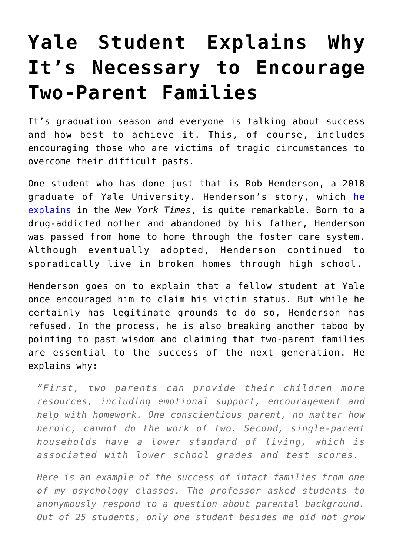## **[Yale Student Explains Why](https://intellectualtakeout.org/2018/05/yale-student-explains-why-its-necessary-to-encourage-two-parent-families/) [It's Necessary to Encourage](https://intellectualtakeout.org/2018/05/yale-student-explains-why-its-necessary-to-encourage-two-parent-families/) [Two-Parent Families](https://intellectualtakeout.org/2018/05/yale-student-explains-why-its-necessary-to-encourage-two-parent-families/)**

It's graduation season and everyone is talking about success and how best to achieve it. This, of course, includes encouraging those who are victims of tragic circumstances to overcome their difficult pasts.

One student who has done just that is Rob Henderson, a 2018 graduate of Yale University. Henderson's story, which [he](https://www.nytimes.com/2018/05/21/opinion/foster-child-conservative.html) [explains](https://www.nytimes.com/2018/05/21/opinion/foster-child-conservative.html) in the *New York Times*, is quite remarkable. Born to a drug-addicted mother and abandoned by his father, Henderson was passed from home to home through the foster care system. Although eventually adopted, Henderson continued to sporadically live in broken homes through high school.

Henderson goes on to explain that a fellow student at Yale once encouraged him to claim his victim status. But while he certainly has legitimate grounds to do so, Henderson has refused. In the process, he is also breaking another taboo by pointing to past wisdom and claiming that two-parent families are essential to the success of the next generation. He explains why:

*"First, two parents can provide their children more resources, including emotional support, encouragement and help with homework. One conscientious parent, no matter how heroic, cannot do the work of two. Second, single-parent households have a lower standard of living, which is associated with lower school grades and test scores.*

*Here is an example of the success of intact families from one of my psychology classes. The professor asked students to anonymously respond to a question about parental background. Out of 25 students, only one student besides me did not grow*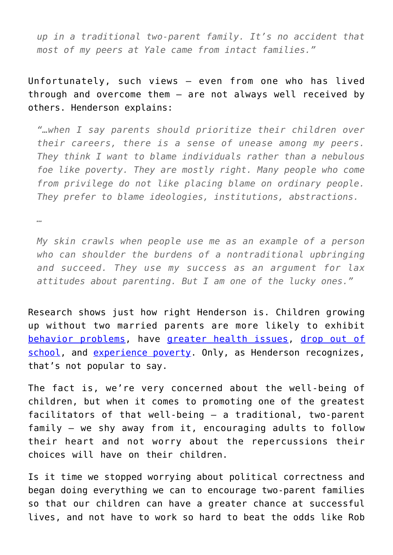*up in a traditional two-parent family. It's no accident that most of my peers at Yale came from intact families."*

Unfortunately, such views – even from one who has lived through and overcome them – are not always well received by others. Henderson explains:

*"…when I say parents should prioritize their children over their careers, there is a sense of unease among my peers. They think I want to blame individuals rather than a nebulous foe like poverty. They are mostly right. Many people who come from privilege do not like placing blame on ordinary people. They prefer to blame ideologies, institutions, abstractions.*

*…*

*My skin crawls when people use me as an example of a person who can shoulder the burdens of a nontraditional upbringing and succeed. They use my success as an argument for lax attitudes about parenting. But I am one of the lucky ones."*

Research shows just how right Henderson is. Children growing up without two married parents are more likely to exhibit [behavior problems](https://www.tandfonline.com/doi/abs/10.1300/J087v37n01_02?journalCode=wjdr20), have [greater health issues,](https://www.clasp.org/sites/default/files/public/resources-and-publications/states/0086.pdf) [drop out of](https://www.tandfonline.com/doi/abs/10.1080/10502556.2012.635964?src=recsys&journalCode=wjdr20) [school,](https://www.tandfonline.com/doi/abs/10.1080/10502556.2012.635964?src=recsys&journalCode=wjdr20) and [experience poverty](https://peoplespolicyproject.org/2018/02/13/us-children-in-two-parent-families-have-high-poverty-rates/). Only, as Henderson recognizes, that's not popular to say.

The fact is, we're very concerned about the well-being of children, but when it comes to promoting one of the greatest facilitators of that well-being – a traditional, two-parent family – we shy away from it, encouraging adults to follow their heart and not worry about the repercussions their choices will have on their children.

Is it time we stopped worrying about political correctness and began doing everything we can to encourage two-parent families so that our children can have a greater chance at successful lives, and not have to work so hard to beat the odds like Rob